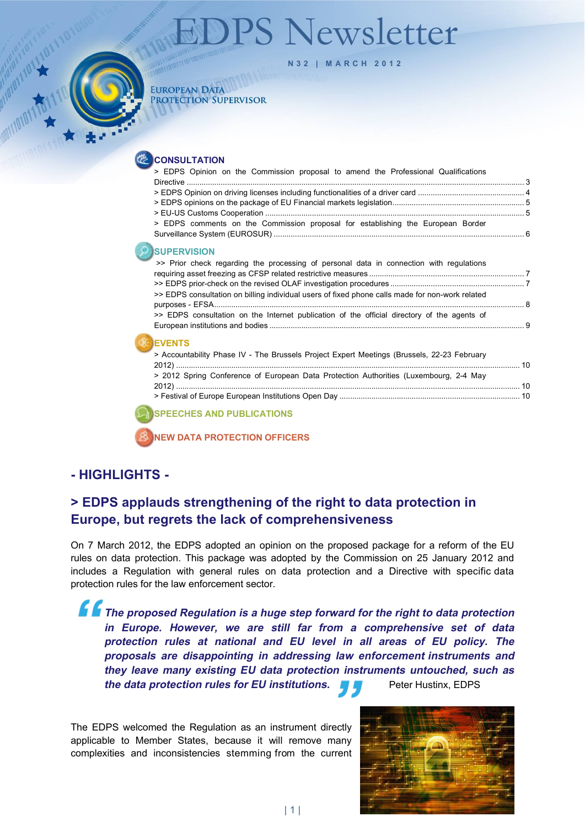# PS Newsletter

<span id="page-0-0"></span>

**N32 | M A RCH 2012**

#### **EUROPEAN DATA** PROTECTION SUPERVISOR

**CONSULTATION** 

| > EDPS Opinion on the Commission proposal to amend the Professional Qualifications              |  |
|-------------------------------------------------------------------------------------------------|--|
|                                                                                                 |  |
|                                                                                                 |  |
|                                                                                                 |  |
| > EDPS comments on the Commission proposal for establishing the European Border                 |  |
| <b>SUPERVISION</b>                                                                              |  |
| >> Prior check regarding the processing of personal data in connection with regulations         |  |
|                                                                                                 |  |
| >> EDPS consultation on billing individual users of fixed phone calls made for non-work related |  |
|                                                                                                 |  |
| >> EDPS consultation on the Internet publication of the official directory of the agents of     |  |
|                                                                                                 |  |
| <b>EVENTS</b>                                                                                   |  |
| > Accountability Phase IV - The Brussels Project Expert Meetings (Brussels, 22-23 February      |  |
|                                                                                                 |  |
| > 2012 Spring Conference of European Data Protection Authorities (Luxembourg, 2-4 May           |  |
|                                                                                                 |  |
|                                                                                                 |  |
| <b>ISPEECHES AND PUBLICATIONS</b>                                                               |  |

**NEW DATA PROTECTION OFFICERS** 

# **- HIGHLIGHTS -**

# **> EDPS applauds strengthening of the right to data protection in Europe, but regrets the lack of comprehensiveness**

On 7 March 2012, the EDPS adopted an opinion on the proposed package for a reform of the EU rules on data protection. This package was adopted by the Commission on 25 January 2012 and includes a Regulation with general rules on data protection and a Directive with specific data protection rules for the law enforcement sector.

**The proposed Regulation is a huge step forward for the right to data protection in Europe. However, we are still far from a comprehensive set of data protection rules at national and EU level in all areas of EU policy. The proposals are disappointing in addressing law enforcement instruments and they leave many existing EU data protection instruments untouched, such as the data protection rules for EU institutions.** Puter Hustinx, EDPS

The EDPS welcomed the Regulation as an instrument directly applicable to Member States, because it will remove many complexities and inconsistencies stemming from the current

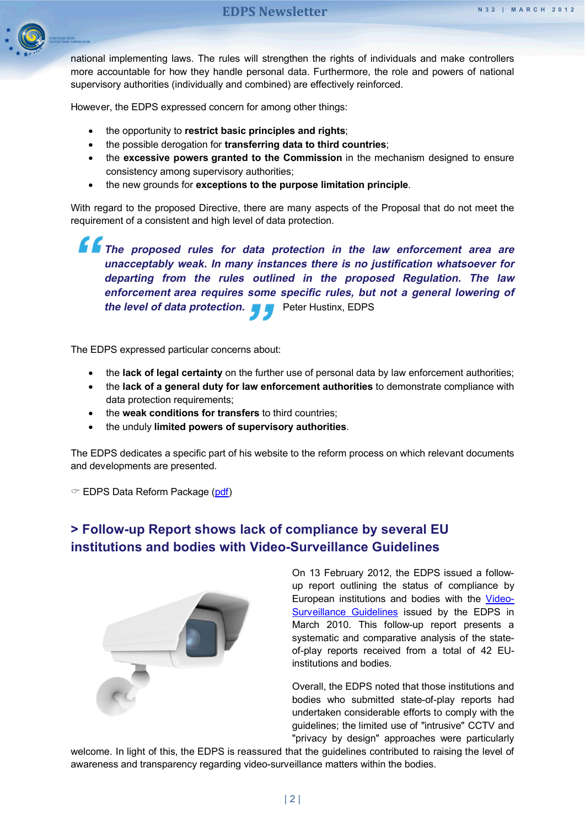

national implementing laws. The rules will strengthen the rights of individuals and make controllers more accountable for how they handle personal data. Furthermore, the role and powers of national supervisory authorities (individually and combined) are effectively reinforced.

However, the EDPS expressed concern for among other things:

- the opportunity to **restrict basic principles and rights**;
- the possible derogation for **transferring data to third countries**;
- the **excessive powers granted to the Commission** in the mechanism designed to ensure consistency among supervisory authorities;
- the new grounds for **exceptions to the purpose limitation principle**.

With regard to the proposed Directive, there are many aspects of the Proposal that do not meet the requirement of a consistent and high level of data protection.

**The proposed rules for data protection in the law enforcement area are unacceptably weak. In many instances there is no justification whatsoever for departing from the rules outlined in the proposed Regulation. The law enforcement area requires some specific rules, but not a general lowering of the level of data protection.** Peter Hustinx, EDPS

The EDPS expressed particular concerns about:

- the **lack of legal certainty** on the further use of personal data by law enforcement authorities;
- the **lack of a general duty for law enforcement authorities** to demonstrate compliance with data protection requirements;
- the **weak conditions for transfers** to third countries;
- the unduly **limited powers of supervisory authorities**.

The EDPS dedicates a specific part of his website to the reform process on which relevant documents and developments are presented.

 $\degree$  EDPS Data Reform Package [\(pdf\)](http://www.edps.europa.eu/EDPSWEB/edps/site/mySite/Reform_package)

# **> Follow-up Report shows lack of compliance by several EU institutions and bodies with Video-Surveillance Guidelines**



On 13 February 2012, the EDPS issued a followup report outlining the status of compliance by European institutions and bodies with the [Video-](http://www.edps.europa.eu/EDPSWEB/webdav/site/mySite/shared/Documents/Supervision/Guidelines/10-03-17_Video-surveillance_Guidelines_EN.pdf)[Surveillance Guidelines](http://www.edps.europa.eu/EDPSWEB/webdav/site/mySite/shared/Documents/Supervision/Guidelines/10-03-17_Video-surveillance_Guidelines_EN.pdf) issued by the EDPS in March 2010. This follow-up report presents a systematic and comparative analysis of the stateof-play reports received from a total of 42 EUinstitutions and bodies.

Overall, the EDPS noted that those institutions and bodies who submitted state-of-play reports had undertaken considerable efforts to comply with the guidelines; the limited use of "intrusive" CCTV and "privacy by design" approaches were particularly

welcome. In light of this, the EDPS is reassured that the guidelines contributed to raising the level of awareness and transparency regarding video-surveillance matters within the bodies.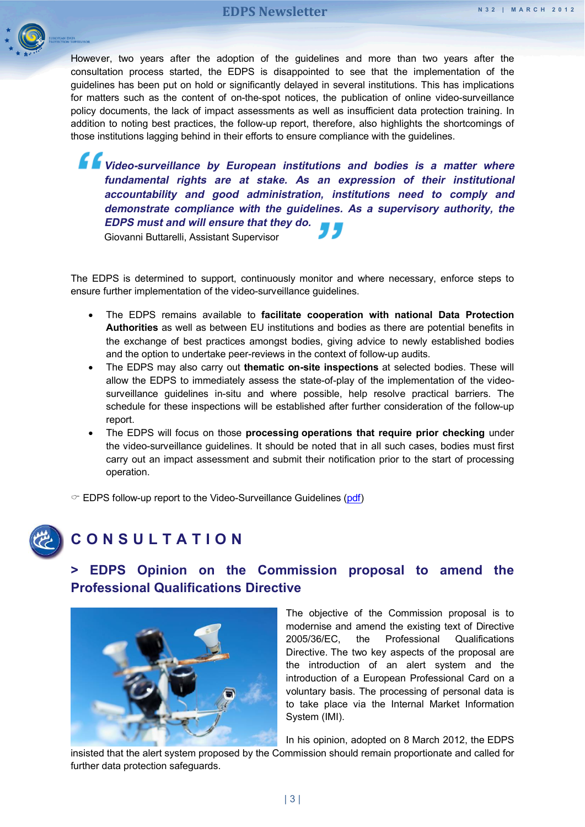

However, two years after the adoption of the guidelines and more than two years after the consultation process started, the EDPS is disappointed to see that the implementation of the guidelines has been put on hold or significantly delayed in several institutions. This has implications for matters such as the content of on-the-spot notices, the publication of online video-surveillance policy documents, the lack of impact assessments as well as insufficient data protection training. In addition to noting best practices, the follow-up report, therefore, also highlights the shortcomings of those institutions lagging behind in their efforts to ensure compliance with the guidelines.

*Video-surveillance by European institutions and bodies is a matter where* **fundamental rights are at stake. As an expression of their institutional accountability and good administration, institutions need to comply and demonstrate compliance with the guidelines. As a supervisory authority, the EDPS must and will ensure that they do.**

Giovanni Buttarelli, Assistant Supervisor

The EDPS is determined to support, continuously monitor and where necessary, enforce steps to ensure further implementation of the video-surveillance guidelines.

- The EDPS remains available to **facilitate cooperation with national Data Protection Authorities** as well as between EU institutions and bodies as there are potential benefits in the exchange of best practices amongst bodies, giving advice to newly established bodies and the option to undertake peer-reviews in the context of follow-up audits.
- The EDPS may also carry out **thematic on-site inspections** at selected bodies. These will allow the EDPS to immediately assess the state-of-play of the implementation of the videosurveillance guidelines in-situ and where possible, help resolve practical barriers. The schedule for these inspections will be established after further consideration of the follow-up report.
- The EDPS will focus on those **processing operations that require prior checking** under the video-surveillance guidelines. It should be noted that in all such cases, bodies must first carry out an impact assessment and submit their notification prior to the start of processing operation.

 $\degree$  EDPS follow-up report to the Video-Surveillance Guidelines [\(pdf\)](http://www.edps.europa.eu/EDPSWEB/webdav/site/mySite/shared/Documents/Supervision/Guidelines/12-02-13_Report_CCTV_EN.pdf)

<span id="page-2-1"></span><span id="page-2-0"></span>

# **CONSULTATI O N**

# **> EDPS Opinion on the Commission proposal to amend the Professional Qualifications Directive**



The objective of the Commission proposal is to modernise and amend the existing text of Directive 2005/36/EC, the Professional Qualifications Directive. The two key aspects of the proposal are the introduction of an alert system and the introduction of a European Professional Card on a voluntary basis. The processing of personal data is to take place via the Internal Market Information System (IMI).

In his opinion, adopted on 8 March 2012, the EDPS

insisted that the alert system proposed by the Commission should remain proportionate and called for further data protection safeguards.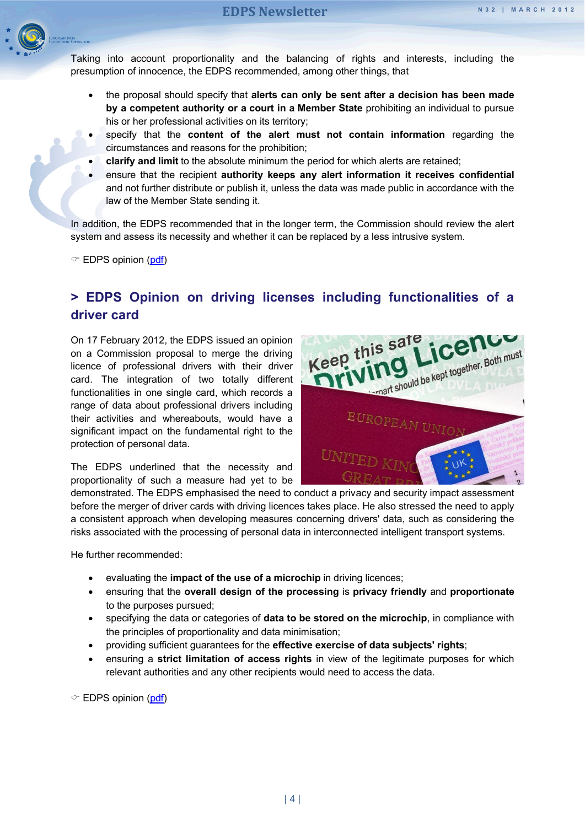

Taking into account proportionality and the balancing of rights and interests, including the presumption of innocence, the EDPS recommended, among other things, that

- the proposal should specify that **alerts can only be sent after a decision has been made by a competent authority or a court in a Member State** prohibiting an individual to pursue his or her professional activities on its territory;
- specify that the **content of the alert must not contain information** regarding the circumstances and reasons for the prohibition;
- **clarify and limit** to the absolute minimum the period for which alerts are retained;
- ensure that the recipient **authority keeps any alert information it receives confidential** and not further distribute or publish it, unless the data was made public in accordance with the law of the Member State sending it.

In addition, the EDPS recommended that in the longer term, the Commission should review the alert system and assess its necessity and whether it can be replaced by a less intrusive system.

 $\textcircled{r}$  EDPS opinion [\(pdf\)](http://www.edps.europa.eu/EDPSWEB/webdav/site/mySite/shared/Documents/Consultation/Opinions/2012/12-03-08_IMI_EN.pdf)

# <span id="page-3-0"></span>**> EDPS Opinion on driving licenses including functionalities of a driver card**

On 17 February 2012, the EDPS issued an opinion on a Commission proposal to merge the driving licence of professional drivers with their driver card. The integration of two totally different functionalities in one single card, which records a range of data about professional drivers including their activities and whereabouts, would have a significant impact on the fundamental right to the protection of personal data.

The EDPS underlined that the necessity and proportionality of such a measure had yet to be



demonstrated. The EDPS emphasised the need to conduct a privacy and security impact assessment before the merger of driver cards with driving licences takes place. He also stressed the need to apply a consistent approach when developing measures concerning drivers' data, such as considering the risks associated with the processing of personal data in interconnected intelligent transport systems.

He further recommended:

- evaluating the **impact of the use of a microchip** in driving licences;
- ensuring that the **overall design of the processing** is **privacy friendly** and **proportionate** to the purposes pursued;
- specifying the data or categories of **data to be stored on the microchip**, in compliance with the principles of proportionality and data minimisation;
- providing sufficient guarantees for the **effective exercise of data subjects' rights**;
- ensuring a **strict limitation of access rights** in view of the legitimate purposes for which relevant authorities and any other recipients would need to access the data.

 $\textcircled{r}$  EDPS opinion [\(pdf\)](http://www.edps.europa.eu/EDPSWEB/webdav/site/mySite/shared/Documents/Consultation/Opinions/2012/12-02-17_Driving_license_EN.pdf)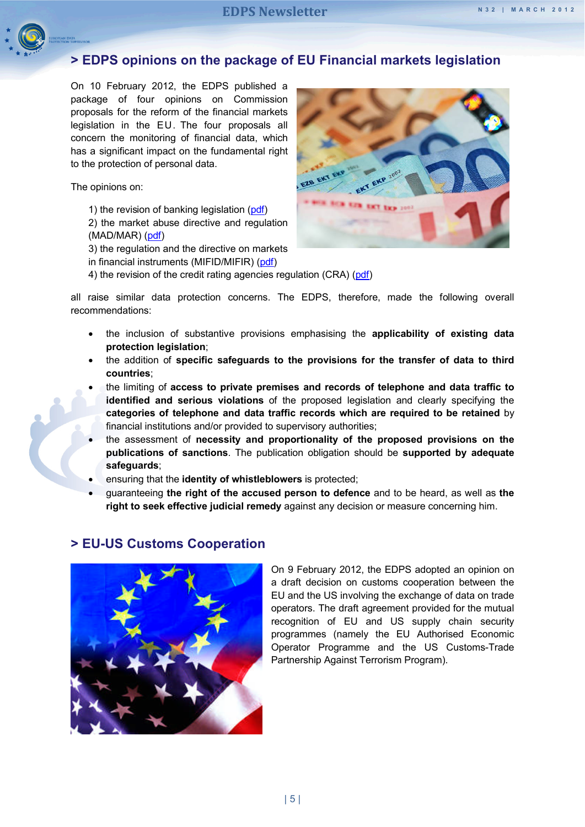<span id="page-4-0"></span>

## **> EDPS opinions on the package of EU Financial markets legislation**

On 10 February 2012, the EDPS published a package of four opinions on Commission proposals for the reform of the financial markets legislation in the EU. The four proposals all concern the monitoring of financial data, which has a significant impact on the fundamental right to the protection of personal data.

The opinions on:

- 1) the revision of banking legislation [\(pdf\)](http://www.edps.europa.eu/EDPSWEB/webdav/site/mySite/shared/Documents/Consultation/Opinions/2012/12-02-10_Credit_institutions_EN.pdf)
- 2) the market abuse directive and regulation (MAD/MAR) [\(pdf\)](http://www.edps.europa.eu/EDPSWEB/webdav/site/mySite/shared/Documents/Consultation/Opinions/2012/12-02-10_Market_Manipulation_EN.pdf)
- 3) the regulation and the directive on markets
- in financial instruments (MIFID/MIFIR) [\(pdf\)](http://www.edps.europa.eu/EDPSWEB/webdav/site/mySite/shared/Documents/Consultation/Opinions/2012/12-02-10_Financial_instruments_EN.pdf)
- 4) the revision of the credit rating agencies regulation (CRA) [\(pdf\)](http://www.edps.europa.eu/EDPSWEB/webdav/site/mySite/shared/Documents/Consultation/Opinions/2012/12-02-10_Credit_rating_agencies_EN.pdf)

all raise similar data protection concerns. The EDPS, therefore, made the following overall recommendations:

- the inclusion of substantive provisions emphasising the **applicability of existing data protection legislation**;
- the addition of **specific safeguards to the provisions for the transfer of data to third countries**;
- the limiting of **access to private premises and records of telephone and data traffic to identified and serious violations** of the proposed legislation and clearly specifying the **categories of telephone and data traffic records which are required to be retained** by financial institutions and/or provided to supervisory authorities;
- the assessment of **necessity and proportionality of the proposed provisions on the publications of sanctions**. The publication obligation should be **supported by adequate safeguards**;
- ensuring that the **identity of whistleblowers** is protected;
- guaranteeing **the right of the accused person to defence** and to be heard, as well as **the right to seek effective judicial remedy** against any decision or measure concerning him.

<span id="page-4-1"></span>

#### **> EU-US Customs Cooperation**

On 9 February 2012, the EDPS adopted an opinion on a draft decision on customs cooperation between the EU and the US involving the exchange of data on trade operators. The draft agreement provided for the mutual recognition of EU and US supply chain security programmes (namely the EU Authorised Economic Operator Programme and the US Customs-Trade Partnership Against Terrorism Program).

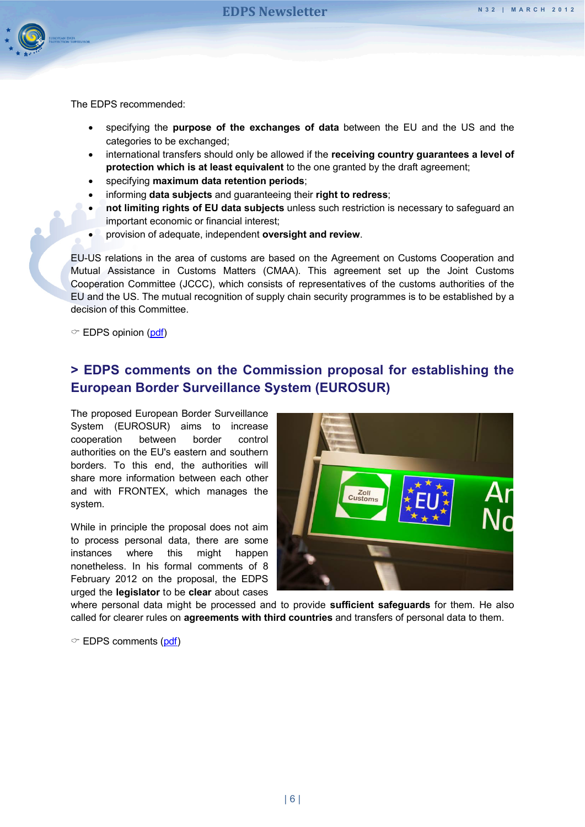

The EDPS recommended:

- specifying the **purpose of the exchanges of data** between the EU and the US and the categories to be exchanged;
- international transfers should only be allowed if the **receiving country guarantees a level of protection which is at least equivalent** to the one granted by the draft agreement;
- specifying **maximum data retention periods**;
- informing **data subjects** and guaranteeing their **right to redress**;
- **not limiting rights of EU data subjects** unless such restriction is necessary to safeguard an important economic or financial interest;
- provision of adequate, independent **oversight and review**.

EU-US relations in the area of customs are based on the Agreement on Customs Cooperation and Mutual Assistance in Customs Matters (CMAA). This agreement set up the Joint Customs Cooperation Committee (JCCC), which consists of representatives of the customs authorities of the EU and the US. The mutual recognition of supply chain security programmes is to be established by a decision of this Committee.

 $\textcircled{r}$  EDPS opinion [\(pdf\)](http://www.edps.europa.eu/EDPSWEB/webdav/site/mySite/shared/Documents/Consultation/Opinions/2012/12-02-09_EU_US_Joint_Customs_EN.pdf)

# <span id="page-5-0"></span>**> EDPS comments on the Commission proposal for establishing the European Border Surveillance System (EUROSUR)**

The proposed European Border Surveillance System (EUROSUR) aims to increase cooperation between border control authorities on the EU's eastern and southern borders. To this end, the authorities will share more information between each other and with FRONTEX, which manages the system.

While in principle the proposal does not aim to process personal data, there are some instances where this might happen nonetheless. In his formal comments of 8 February 2012 on the proposal, the EDPS urged the **legislator** to be **clear** about cases



where personal data might be processed and to provide **sufficient safeguards** for them. He also called for clearer rules on **agreements with third countries** and transfers of personal data to them.

 $\degree$  EDPS comments [\(pdf\)](http://www.edps.europa.eu/EDPSWEB/webdav/site/mySite/shared/Documents/Consultation/Comments/2012/12-02-08_EUROSUR_EN.pdf)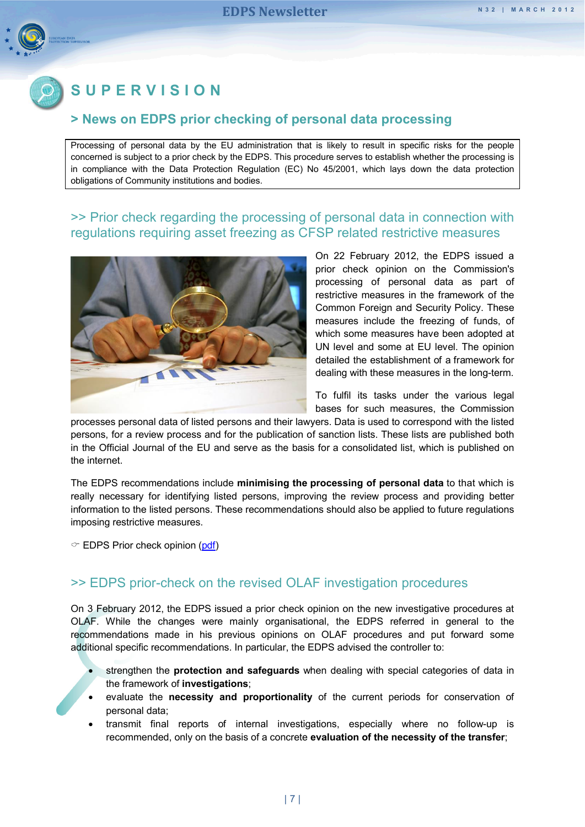

# <span id="page-6-0"></span>**SUPERVISION**

#### **> News on EDPS prior checking of personal data processing**

Processing of personal data by the EU administration that is likely to result in specific risks for the people concerned is subject to a prior check by the EDPS. This procedure serves to establish whether the processing is in compliance with the Data Protection Regulation (EC) No 45/2001, which lays down the data protection obligations of Community institutions and bodies.

#### <span id="page-6-1"></span>>> Prior check regarding the processing of personal data in connection with regulations requiring asset freezing as CFSP related restrictive measures



On 22 February 2012, the EDPS issued a prior check opinion on the Commission's processing of personal data as part of restrictive measures in the framework of the Common Foreign and Security Policy. These measures include the freezing of funds, of which some measures have been adopted at UN level and some at EU level. The opinion detailed the establishment of a framework for dealing with these measures in the long-term.

To fulfil its tasks under the various legal bases for such measures, the Commission

processes personal data of listed persons and their lawyers. Data is used to correspond with the listed persons, for a review process and for the publication of sanction lists. These lists are published both in the Official Journal of the EU and serve as the basis for a consolidated list, which is published on the internet.

The EDPS recommendations include **minimising the processing of personal data** to that which is really necessary for identifying listed persons, improving the review process and providing better information to the listed persons. These recommendations should also be applied to future regulations imposing restrictive measures.

 $\degree$  EDPS Prior check opinion [\(pdf\)](http://www.edps.europa.eu/EDPSWEB/webdav/site/mySite/shared/Documents/Supervision/Priorchecks/Opinions/2012/12-02-22_CFSP_EN.pdf)

### <span id="page-6-2"></span>>> EDPS prior-check on the revised OLAF investigation procedures

On 3 February 2012, the EDPS issued a prior check opinion on the new investigative procedures at OLAF. While the changes were mainly organisational, the EDPS referred in general to the recommendations made in his previous opinions on OLAF procedures and put forward some additional specific recommendations. In particular, the EDPS advised the controller to:

- strengthen the **protection and safeguards** when dealing with special categories of data in the framework of **investigations**;
- evaluate the **necessity and proportionality** of the current periods for conservation of personal data;
- transmit final reports of internal investigations, especially where no follow-up is recommended, only on the basis of a concrete **evaluation of the necessity of the transfer**;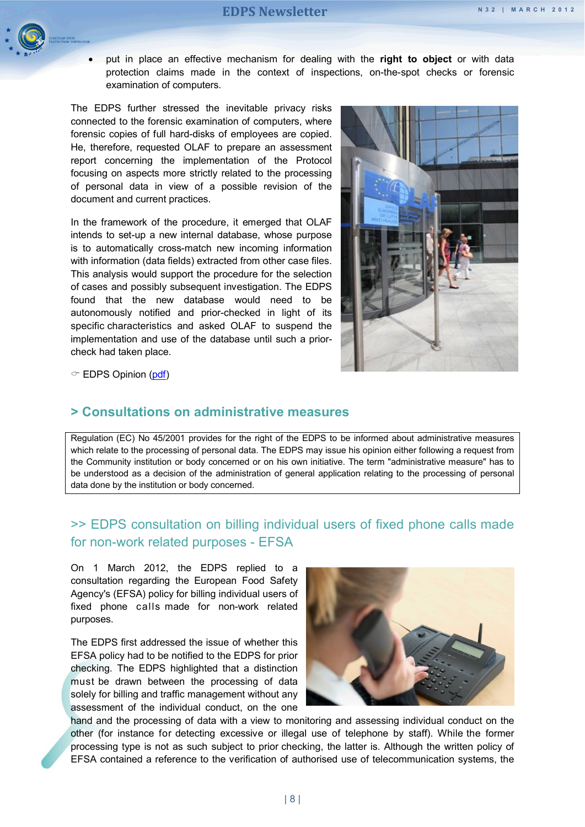

 put in place an effective mechanism for dealing with the **right to object** or with data protection claims made in the context of inspections, on-the-spot checks or forensic examination of computers.

The EDPS further stressed the inevitable privacy risks connected to the forensic examination of computers, where forensic copies of full hard-disks of employees are copied. He, therefore, requested OLAF to prepare an assessment report concerning the implementation of the Protocol focusing on aspects more strictly related to the processing of personal data in view of a possible revision of the document and current practices.

In the framework of the procedure, it emerged that OLAF intends to set-up a new internal database, whose purpose is to automatically cross-match new incoming information with information (data fields) extracted from other case files. This analysis would support the procedure for the selection of cases and possibly subsequent investigation. The EDPS found that the new database would need to be autonomously notified and prior-checked in light of its specific characteristics and asked OLAF to suspend the implementation and use of the database until such a priorcheck had taken place.



 $\degree$  EDPS Opinion [\(pdf\)](http://www.edps.europa.eu/EDPSWEB/webdav/site/mySite/shared/Documents/Supervision/Priorchecks/Opinions/2012/12-02-03_OLAF_investigative_procedures_EN.pdf)

#### **> Consultations on [administrative measures](#page-0-0)**

Regulation (EC) No 45/2001 provides for the right of the EDPS to be informed about administrative measures which relate to the processing of personal data. The EDPS may issue his opinion either following a request from the Community institution or body concerned or on his own initiative. The term "administrative measure" has to be understood as a decision of the administration of general application relating to the processing of personal data done by the institution or body concerned.

# <span id="page-7-0"></span>>> EDPS consultation on billing individual users of fixed phone calls made for non-work related purposes - EFSA

On 1 March 2012, the EDPS replied to a consultation regarding the European Food Safety Agency's (EFSA) policy for billing individual users of fixed phone calls made for non-work related purposes.

The EDPS first addressed the issue of whether this EFSA policy had to be notified to the EDPS for prior checking. The EDPS highlighted that a distinction must be drawn between the processing of data solely for billing and traffic management without any assessment of the individual conduct, on the one



hand and the processing of data with a view to monitoring and assessing individual conduct on the other (for instance for detecting excessive or illegal use of telephone by staff). While the former processing type is not as such subject to prior checking, the latter is. Although the written policy of EFSA contained a reference to the verification of authorised use of telecommunication systems, the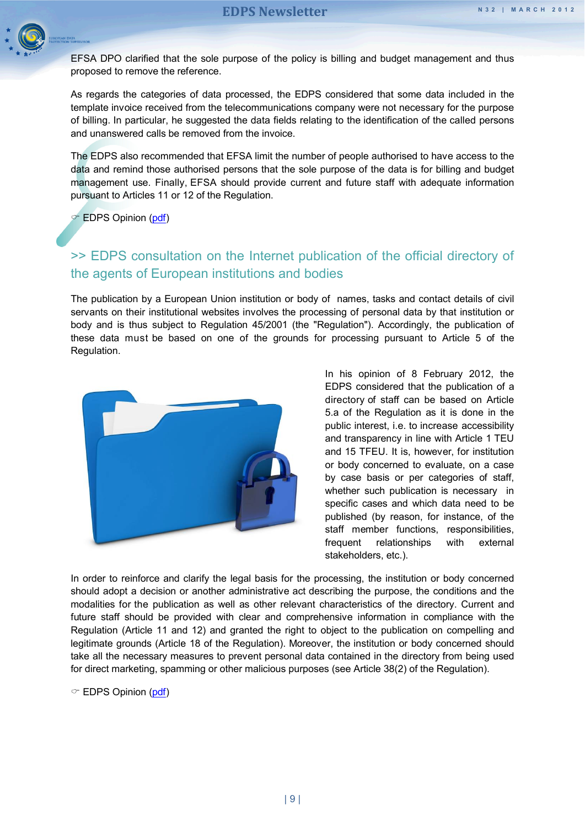

EFSA DPO clarified that the sole purpose of the policy is billing and budget management and thus proposed to remove the reference.

As regards the categories of data processed, the EDPS considered that some data included in the template invoice received from the telecommunications company were not necessary for the purpose of billing. In particular, he suggested the data fields relating to the identification of the called persons and unanswered calls be removed from the invoice.

The EDPS also recommended that EFSA limit the number of people authorised to have access to the data and remind those authorised persons that the sole purpose of the data is for billing and budget management use. Finally, EFSA should provide current and future staff with adequate information pursuant to Articles 11 or 12 of the Regulation.

 $\in$  EDPS Opinion [\(pdf\)](http://www.edps.europa.eu/EDPSWEB/webdav/site/mySite/shared/Documents/Supervision/Adminmeasures/2012/12-03-01_Letter_EFSA_EN.pdf)

# <span id="page-8-0"></span>>> EDPS consultation on the Internet publication of the official directory of the agents of European institutions and bodies

The publication by a European Union institution or body of names, tasks and contact details of civil servants on their institutional websites involves the processing of personal data by that institution or body and is thus subject to Regulation 45/2001 (the "Regulation"). Accordingly, the publication of these data must be based on one of the grounds for processing pursuant to Article 5 of the Regulation.



In his opinion of 8 February 2012, the EDPS considered that the publication of a directory of staff can be based on Article 5.a of the Regulation as it is done in the public interest, i.e. to increase accessibility and transparency in line with Article 1 TEU and 15 TFEU. It is, however, for institution or body concerned to evaluate, on a case by case basis or per categories of staff, whether such publication is necessary in specific cases and which data need to be published (by reason, for instance, of the staff member functions, responsibilities, frequent relationships with external stakeholders, etc.).

In order to reinforce and clarify the legal basis for the processing, the institution or body concerned should adopt a decision or another administrative act describing the purpose, the conditions and the modalities for the publication as well as other relevant characteristics of the directory. Current and future staff should be provided with clear and comprehensive information in compliance with the Regulation (Article 11 and 12) and granted the right to object to the publication on compelling and legitimate grounds (Article 18 of the Regulation). Moreover, the institution or body concerned should take all the necessary measures to prevent personal data contained in the directory from being used for direct marketing, spamming or other malicious purposes (see Article 38(2) of the Regulation).

EDPS Opinion [\(pdf\)](http://www.edps.europa.eu/EDPSWEB/webdav/site/mySite/shared/Documents/Supervision/Adminmeasures/2012/12-02-08_Official_directory_agents_EN.pdf)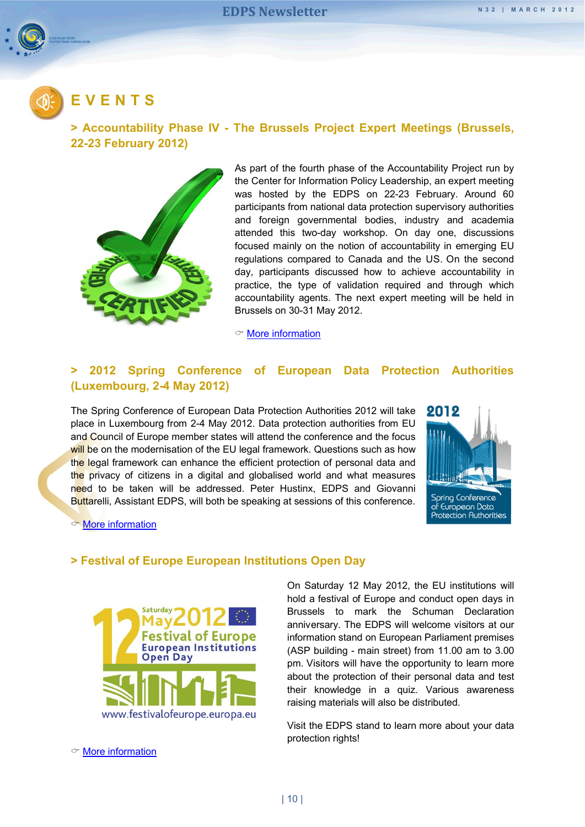<span id="page-9-0"></span>

# **EVENTS**

#### <span id="page-9-1"></span>**> Accountability Phase IV - The Brussels Project Expert Meetings (Brussels, 22-23 February 2012)**



As part of the fourth phase of the Accountability Project run by the Center for Information Policy Leadership, an expert meeting was hosted by the EDPS on 22-23 February. Around 60 participants from national data protection supervisory authorities and foreign governmental bodies, industry and academia attended this two-day workshop. On day one, discussions focused mainly on the notion of accountability in emerging EU regulations compared to Canada and the US. On the second day, participants discussed how to achieve accountability in practice, the type of validation required and through which accountability agents. The next expert meeting will be held in Brussels on 30-31 May 2012.

 $\textcircled{r}$  [More information](http://www.informationpolicycentre.com/files/Uploads/Documents/Centre/Accountability_Phase_IV_The_Brussels_Project_Agenda.pdf)

#### <span id="page-9-2"></span>**> 2012 Spring Conference of European Data Protection Authorities (Luxembourg, 2-4 May 2012)**

The Spring Conference of European Data Protection Authorities 2012 will take place in Luxembourg from 2-4 May 2012. Data protection authorities from EU and Council of Europe member states will attend the conference and the focus will be on the modernisation of the EU legal framework. Questions such as how the legal framework can enhance the efficient protection of personal data and the privacy of citizens in a digital and globalised world and what measures need to be taken will be addressed. Peter Hustinx, EDPS and Giovanni Buttarelli, Assistant EDPS, will both be speaking at sessions of this conference.



 $\circ$  [More information](http://www.springconference2012.lu/en/)

#### <span id="page-9-3"></span>**> Festival of Europe European Institutions Open Day**



On Saturday 12 May 2012, the EU institutions will hold a festival of Europe and conduct open days in Brussels to mark the Schuman Declaration anniversary. The EDPS will welcome visitors at our information stand on European Parliament premises (ASP building - main street) from 11.00 am to 3.00 pm. Visitors will have the opportunity to learn more about the protection of their personal data and test their knowledge in a quiz. Various awareness raising materials will also be distributed.

Visit the EDPS stand to learn more about your data protection rights!

 $\infty$  [More information](http://europa.eu/festivalofeurope/)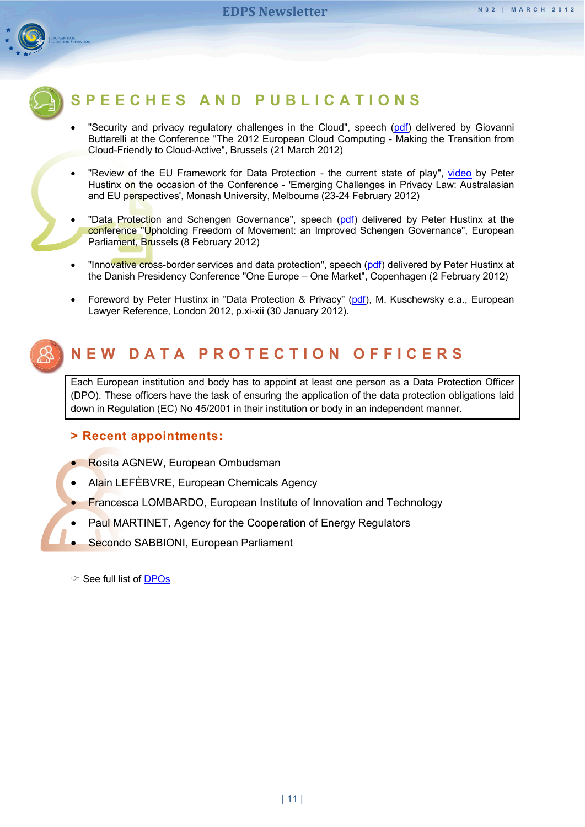

# <span id="page-10-0"></span>**SPEECHES AND PUBLICA TIONS**

- "Security and privacy regulatory challenges in the Cloud", speech [\(pdf\)](http://www.edps.europa.eu/EDPSWEB/webdav/site/mySite/shared/Documents/EDPS/Publications/Speeches/2012/12-03-21_Cloud_computing_EN.pdf) delivered by Giovanni Buttarelli at the Conference "The 2012 European Cloud Computing - Making the Transition from Cloud-Friendly to Cloud-Active", Brussels (21 March 2012)
- "Review of the EU Framework for Data Protection the current state of play", [video](http://www.edps.europa.eu/EDPSWEB/edps/site/mySite/Monash_University_Melbourne) by Peter Hustinx on the occasion of the Conference - 'Emerging Challenges in Privacy Law: Australasian and EU perspectives', Monash University, Melbourne (23-24 February 2012)
- "Data Protection and Schengen Governance", speech [\(pdf\)](http://www.edps.europa.eu/EDPSWEB/webdav/site/mySite/shared/Documents/EDPS/Publications/Speeches/2012/12-02-08_SD_Schengen_EDPS_EN.pdf) delivered by Peter Hustinx at the conference "Upholding Freedom of Movement: an Improved Schengen Governance", European Parliament, Brussels (8 February 2012)
- "Innovative cross-border services and data protection", speech [\(pdf\)](http://www.edps.europa.eu/EDPSWEB/webdav/site/mySite/shared/Documents/EDPS/Publications/Speeches/2012/12-02-02_Speech_Copenhagen_EN.pdf) delivered by Peter Hustinx at the Danish Presidency Conference "One Europe – One Market", Copenhagen (2 February 2012)
- Foreword by Peter Hustinx in "Data Protection & Privacy" [\(pdf\)](http://www.edps.europa.eu/EDPSWEB/webdav/site/mySite/shared/Documents/EDPS/Publications/Speeches/2012/12-01-30_Foreword_DPP_book_EN.pdf), M. Kuschewsky e.a., European Lawyer Reference, London 2012, p.xi-xii (30 January 2012).

<span id="page-10-1"></span>

Each European institution and body has to appoint at least one person as a Data Protection Officer (DPO). These officers have the task of ensuring the application of the data protection obligations laid down in Regulation (EC) No 45/2001 in their institution or body in an independent manner.

#### **> Recent appointments:**

- Rosita AGNEW, European Ombudsman
- Alain LEFÈBVRE, European Chemicals Agency
- Francesca LOMBARDO, European Institute of Innovation and Technology
- Paul MARTINET, Agency for the Cooperation of Energy Regulators
- Secondo SABBIONI, European Parliament

 $\degree$  See full list of [DPOs](http://www.edps.europa.eu/EDPSWEB/edps/Home/Supervision/DPOnetwork)